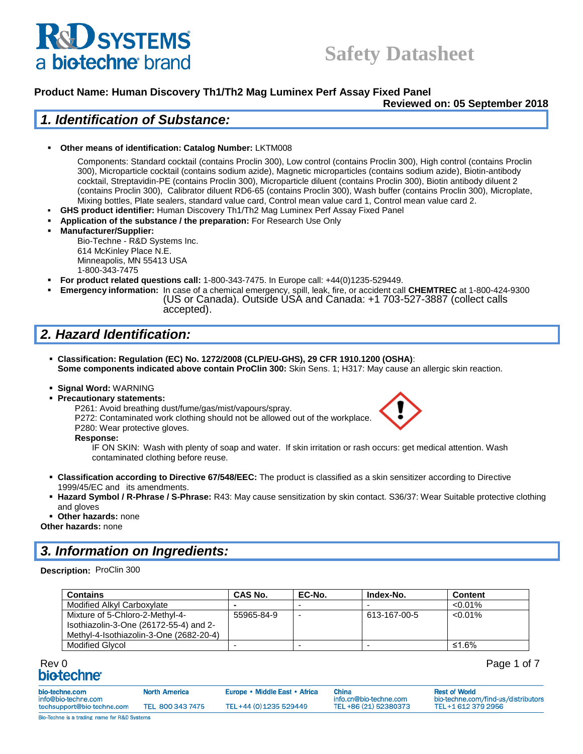# **U SYSTEMS** a biotechne brand

# **Safety Datasheet**

#### **Product Name: Human Discovery Th1/Th2 Mag Luminex Perf Assay Fixed Panel**

**Reviewed on: 05 September 2018**

#### *1. Identification of Substance:*

▪ **Other means of identification: Catalog Number:** LKTM008

Components: Standard cocktail (contains Proclin 300), Low control (contains Proclin 300), High control (contains Proclin 300), Microparticle cocktail (contains sodium azide), Magnetic microparticles (contains sodium azide), Biotin-antibody cocktail, Streptavidin-PE (contains Proclin 300), Microparticle diluent (contains Proclin 300), Biotin antibody diluent 2 (contains Proclin 300), Calibrator diluent RD6-65 (contains Proclin 300), Wash buffer (contains Proclin 300), Microplate, Mixing bottles, Plate sealers, standard value card, Control mean value card 1, Control mean value card 2.

- **GHS product identifier:** Human Discovery Th1/Th2 Mag Luminex Perf Assay Fixed Panel
- Application of the substance / the preparation: For Research Use Only
- **Manufacturer/Supplier:**

Bio-Techne - R&D Systems Inc. 614 McKinley Place N.E. Minneapolis, MN 55413 USA 1-800-343-7475

- **For product related questions call:** 1-800-343-7475. In Europe call: +44(0)1235-529449.
- **Emergency information:** In case of a chemical emergency, spill, leak, fire, or accident call **CHEMTREC** at 1-800-424-9300 (US or Canada). Outside USA and Canada: +1 703-527-3887 (collect calls accepted).

## *2. Hazard Identification:*

- **Classification: Regulation (EC) No. 1272/2008 (CLP/EU-GHS), 29 CFR 1910.1200 (OSHA)**: **Some components indicated above contain ProClin 300:** Skin Sens. 1; H317: May cause an allergic skin reaction.
- **Signal Word:** WARNING
- **Precautionary statements:**



P261: Avoid breathing dust/fume/gas/mist/vapours/spray. P272: Contaminated work clothing should not be allowed out of the workplace.

P280: Wear protective gloves.

**Response:** 

IF ON SKIN: Wash with plenty of soap and water. If skin irritation or rash occurs: get medical attention. Wash contaminated clothing before reuse.

- **Classification according to Directive 67/548/EEC:** The product is classified as a skin sensitizer according to Directive 1999/45/EC and its amendments.
- **Hazard Symbol / R-Phrase / S-Phrase:** R43: May cause sensitization by skin contact. S36/37: Wear Suitable protective clothing and gloves
- **Other hazards:** none

**Other hazards:** none

#### *3. Information on Ingredients:*

#### **Description:** ProClin 300

| <b>Contains</b>                                                                                                      | <b>CAS No.</b> | EC-No.                   | Index-No.    | <b>Content</b> |
|----------------------------------------------------------------------------------------------------------------------|----------------|--------------------------|--------------|----------------|
| Modified Alkyl Carboxylate                                                                                           |                |                          |              | $< 0.01\%$     |
| Mixture of 5-Chloro-2-Methyl-4-<br>Isothiazolin-3-One (26172-55-4) and 2-<br>Methyl-4-Isothiazolin-3-One (2682-20-4) | 55965-84-9     | $\overline{\phantom{a}}$ | 613-167-00-5 | $< 0.01\%$     |
| <b>Modified Glycol</b>                                                                                               |                |                          |              | ≤1.6%          |

# Rev 0 Page 1 of 7

|  | Page 1 of 7 |  |  |  |
|--|-------------|--|--|--|
|--|-------------|--|--|--|

| bio-techne.com<br>info@bio-techne.com        | <b>North America</b> | Europe • Middle East • Africa | China<br>info.cn@bio-techne.com | <b>Rest of World</b><br>bio-techne.com/find-us/distributors |
|----------------------------------------------|----------------------|-------------------------------|---------------------------------|-------------------------------------------------------------|
| techsupport@bio-techne.com                   | TEL 800 343 7475     | TEL+44 (0) 1235 529449        | TEL +86 (21) 52380373           | TEL+1 612 379 2956                                          |
| Bio-Techne is a trading name for R&D Systems |                      |                               |                                 |                                                             |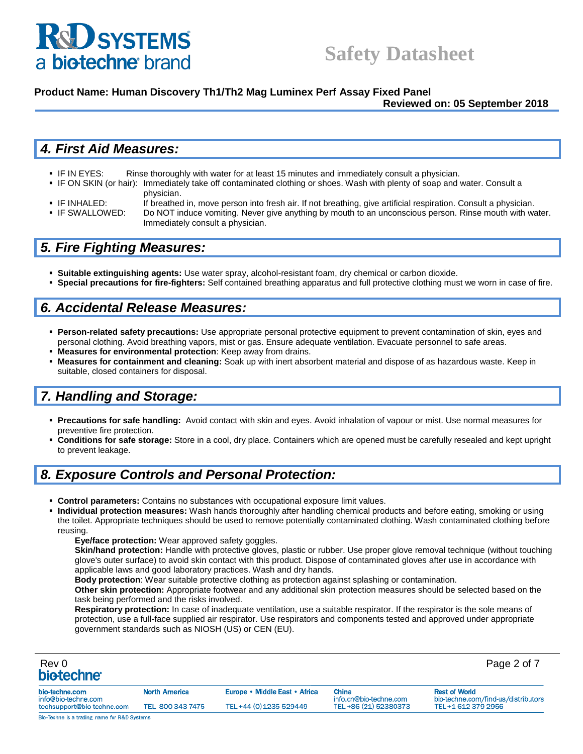

#### **Product Name: Human Discovery Th1/Th2 Mag Luminex Perf Assay Fixed Panel**

#### **Reviewed on: 05 September 2018**

#### *4. First Aid Measures:*

- **IF IN EYES:** Rinse thoroughly with water for at least 15 minutes and immediately consult a physician.
- IF ON SKIN (or hair): Immediately take off contaminated clothing or shoes. Wash with plenty of soap and water. Consult a physician.
- IF INHALED: If breathed in, move person into fresh air. If not breathing, give artificial respiration. Consult a physician.
- IF SWALLOWED: Do NOT induce vomiting. Never give anything by mouth to an unconscious person. Rinse mouth with water. Immediately consult a physician.

#### *5. Fire Fighting Measures:*

- **Suitable extinguishing agents:** Use water spray, alcohol-resistant foam, dry chemical or carbon dioxide.
- **Special precautions for fire-fighters:** Self contained breathing apparatus and full protective clothing must we worn in case of fire.

#### *6. Accidental Release Measures:*

- **Person-related safety precautions:** Use appropriate personal protective equipment to prevent contamination of skin, eyes and personal clothing. Avoid breathing vapors, mist or gas. Ensure adequate ventilation. Evacuate personnel to safe areas.
- **Measures for environmental protection**: Keep away from drains.
- **Measures for containment and cleaning:** Soak up with inert absorbent material and dispose of as hazardous waste. Keep in suitable, closed containers for disposal.

#### *7. Handling and Storage:*

- **Precautions for safe handling:** Avoid contact with skin and eyes. Avoid inhalation of vapour or mist. Use normal measures for preventive fire protection.
- **Conditions for safe storage:** Store in a cool, dry place. Containers which are opened must be carefully resealed and kept upright to prevent leakage.

#### *8. Exposure Controls and Personal Protection:*

- **EXECT Control parameters:** Contains no substances with occupational exposure limit values.
- Individual protection measures: Wash hands thoroughly after handling chemical products and before eating, smoking or using the toilet. Appropriate techniques should be used to remove potentially contaminated clothing. Wash contaminated clothing before reusing.
	- **Eye/face protection:** Wear approved safety goggles.

**Skin/hand protection:** Handle with protective gloves, plastic or rubber. Use proper glove removal technique (without touching glove's outer surface) to avoid skin contact with this product. Dispose of contaminated gloves after use in accordance with applicable laws and good laboratory practices. Wash and dry hands.

**Body protection**: Wear suitable protective clothing as protection against splashing or contamination.

**Other skin protection:** Appropriate footwear and any additional skin protection measures should be selected based on the task being performed and the risks involved.

**Respiratory protection:** In case of inadequate ventilation, use a suitable respirator. If the respirator is the sole means of protection, use a full-face supplied air respirator. Use respirators and components tested and approved under appropriate government standards such as NIOSH (US) or CEN (EU).

| Rev 0<br>biotechne <sup>®</sup>              |                      |                               |                                 | Page 2 of 7                                                 |
|----------------------------------------------|----------------------|-------------------------------|---------------------------------|-------------------------------------------------------------|
| bio-techne.com<br>info@bio-techne.com        | <b>North America</b> | Europe • Middle East • Africa | China<br>info.cn@bio-techne.com | <b>Rest of World</b><br>bio-techne.com/find-us/distributors |
| techsupport@bio-techne.com                   | TEL 800 343 7475     | TEL+44 (0) 1235 529449        | TEL+86 (21) 52380373            | TEL+1 612 379 2956                                          |
| Bio-Techne is a trading name for R&D Systems |                      |                               |                                 |                                                             |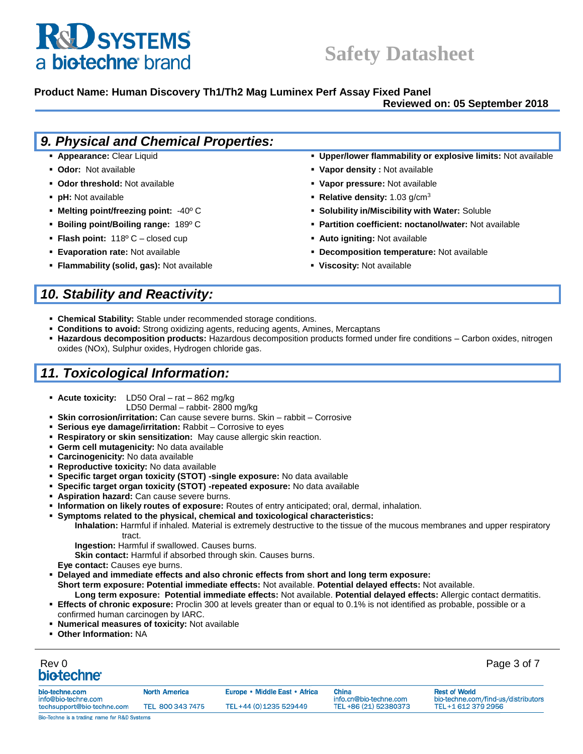# **& SYSTEMS** a biotechne brand

# **Safety Datasheet**

#### **Product Name: Human Discovery Th1/Th2 Mag Luminex Perf Assay Fixed Panel**

#### **Reviewed on: 05 September 2018**

| 9. Physical and Chemical Properties:                  |                                                               |
|-------------------------------------------------------|---------------------------------------------------------------|
| • Appearance: Clear Liquid                            | • Upper/lower flammability or explosive limits: Not available |
| • Odor: Not available                                 | • Vapor density: Not available                                |
| • Odor threshold: Not available                       | • Vapor pressure: Not available                               |
| • pH: Not available                                   | • Relative density: $1.03$ g/cm <sup>3</sup>                  |
| • Melting point/freezing point: $-40^{\circ}$ C       | • Solubility in/Miscibility with Water: Soluble               |
| <b>• Boiling point/Boiling range:</b> $189^{\circ}$ C | • Partition coefficient: noctanol/water: Not available        |
| <b>Flash point:</b> $118^{\circ}$ C – closed cup      | • Auto igniting: Not available                                |
| <b>Evaporation rate: Not available</b>                | • Decomposition temperature: Not available                    |
| • Flammability (solid, gas): Not available            | • Viscosity: Not available                                    |

# *10. Stability and Reactivity:*

- **Example 2 Chemical Stability:** Stable under recommended storage conditions.
- **EXEDENTIFY Conditions to avoid:** Strong oxidizing agents, reducing agents, Amines, Mercaptans
- **Hazardous decomposition products:** Hazardous decomposition products formed under fire conditions Carbon oxides, nitrogen oxides (NOx), Sulphur oxides, Hydrogen chloride gas.

#### *11. Toxicological Information:*

- **Acute toxicity:** LD50 Oral rat 862 mg/kg
	- LD50 Dermal rabbit- 2800 mg/kg
- **Skin corrosion/irritation:** Can cause severe burns. Skin rabbit Corrosive
- **Serious eye damage/irritation:** Rabbit Corrosive to eyes
- **Respiratory or skin sensitization:** May cause allergic skin reaction.
- **Germ cell mutagenicity:** No data available
- **Carcinogenicity:** No data available
- **Reproductive toxicity:** No data available
- **Specific target organ toxicity (STOT) -single exposure:** No data available
- **Specific target organ toxicity (STOT) -repeated exposure:** No data available
- **Aspiration hazard:** Can cause severe burns.
- **Information on likely routes of exposure:** Routes of entry anticipated; oral, dermal, inhalation.
- **Symptoms related to the physical, chemical and toxicological characteristics:**

**Inhalation:** Harmful if inhaled. Material is extremely destructive to the tissue of the mucous membranes and upper respiratory tract.

**Ingestion:** Harmful if swallowed. Causes burns.

**Skin contact:** Harmful if absorbed through skin. Causes burns.

**Eye contact:** Causes eye burns.

- **Delayed and immediate effects and also chronic effects from short and long term exposure: Short term exposure: Potential immediate effects:** Not available. **Potential delayed effects:** Not available.
- **Long term exposure: Potential immediate effects:** Not available. **Potential delayed effects:** Allergic contact dermatitis.
- **Effects of chronic exposure:** Proclin 300 at levels greater than or equal to 0.1% is not identified as probable, possible or a confirmed human carcinogen by IARC.
- **Numerical measures of toxicity: Not available**
- **Other Information: NA**

# Rev 0 Page 3 of 7

| bio-techne.com<br>info@bio-techne.com                   | <b>North America</b> | Europe • Middle East • Africa | <b>China</b><br>info.cn@bio-techne.com | <b>Rest of World</b><br>bio-techne.com/find-us/distributors |
|---------------------------------------------------------|----------------------|-------------------------------|----------------------------------------|-------------------------------------------------------------|
| techsupport@bio-techne.com                              | TEL 800 343 7475     | TEL+44 (0) 1235 529449        | TEL +86 (21) 52380373                  | TEL+1 612 379 2956                                          |
| <b>Bio-Techne is a trading name for R&amp;D Systems</b> |                      |                               |                                        |                                                             |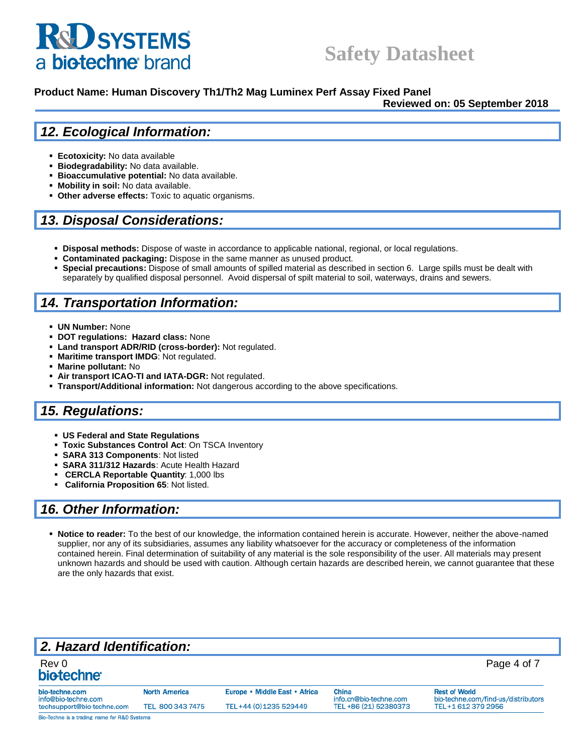# **RU SYSTEMS** a biotechne brand

# **Safety Datasheet**

#### **Product Name: Human Discovery Th1/Th2 Mag Luminex Perf Assay Fixed Panel**

**Reviewed on: 05 September 2018**

#### *12. Ecological Information:*

- **Ecotoxicity:** No data available
- **Biodegradability:** No data available.
- **Bioaccumulative potential:** No data available.
- **Mobility in soil:** No data available.
- **Other adverse effects:** Toxic to aquatic organisms.

#### *13. Disposal Considerations:*

- **EXECT Disposal methods:** Dispose of waste in accordance to applicable national, regional, or local regulations.
- **Contaminated packaging:** Dispose in the same manner as unused product.
- **Special precautions:** Dispose of small amounts of spilled material as described in section 6. Large spills must be dealt with separately by qualified disposal personnel. Avoid dispersal of spilt material to soil, waterways, drains and sewers.

#### *14. Transportation Information:*

- **UN Number:** None
- **DOT regulations: Hazard class: None**
- Land transport ADR/RID (cross-border): Not regulated.
- **Maritime transport IMDG**: Not regulated.
- **Marine pollutant: No**
- Air transport ICAO-TI and IATA-DGR: Not regulated.
- **Transport/Additional information:** Not dangerous according to the above specifications.

### *15. Regulations:*

- **US Federal and State Regulations**
- **Toxic Substances Control Act**: On TSCA Inventory
- **SARA 313 Components**: Not listed
- **SARA 311/312 Hazards**: Acute Health Hazard
- **CERCLA Reportable Quantity**: 1,000 lbs
- **California Proposition 65**: Not listed.

#### *16. Other Information:*

▪ **Notice to reader:** To the best of our knowledge, the information contained herein is accurate. However, neither the above-named supplier, nor any of its subsidiaries, assumes any liability whatsoever for the accuracy or completeness of the information contained herein. Final determination of suitability of any material is the sole responsibility of the user. All materials may present unknown hazards and should be used with caution. Although certain hazards are described herein, we cannot guarantee that these are the only hazards that exist.

## *2. Hazard Identification:*

| Rev 0<br>bio-techne <sup>®</sup>             |                      |                               |                                        | Page 4 of 7                                                 |
|----------------------------------------------|----------------------|-------------------------------|----------------------------------------|-------------------------------------------------------------|
| bio-techne.com<br>info@bio-techne.com        | <b>North America</b> | Europe • Middle East • Africa | <b>China</b><br>info.cn@bio-techne.com | <b>Rest of World</b><br>bio-techne.com/find-us/distributors |
| techsupport@bio-techne.com                   | TEL 800 343 7475     | TEL+44 (0) 1235 529449        | TEL +86 (21) 52380373                  | TEL+1 612 379 2956                                          |
| Bio-Techne is a trading name for R&D Systems |                      |                               |                                        |                                                             |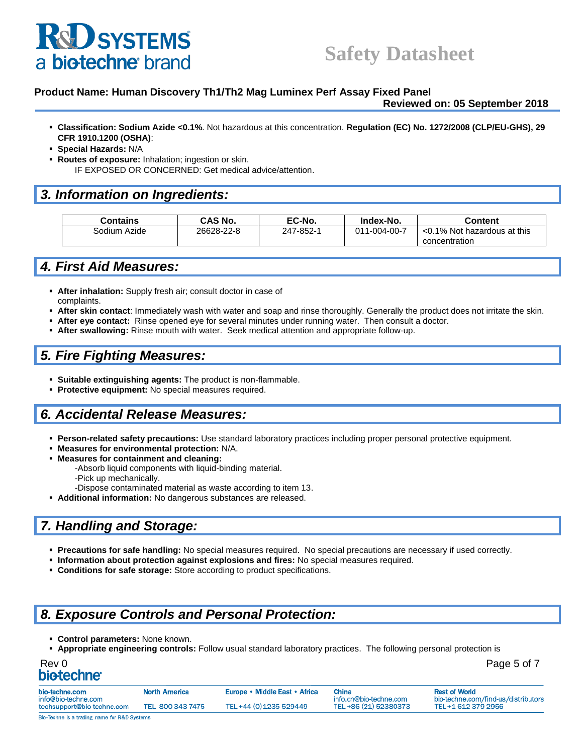# **D** SYSTEMS biotechne brand

#### **Product Name: Human Discovery Th1/Th2 Mag Luminex Perf Assay Fixed Panel**

**Reviewed on: 05 September 2018**

- **Classification: Sodium Azide <0.1%**. Not hazardous at this concentration. **Regulation (EC) No. 1272/2008 (CLP/EU-GHS), 29 CFR 1910.1200 (OSHA)**:
- **Special Hazards:** N/A
- **Routes of exposure:** Inhalation; ingestion or skin. IF EXPOSED OR CONCERNED: Get medical advice/attention.

#### *3. Information on Ingredients:*

| Contains     | CAS No.    | EC-No.    | Index-No.    | Content                     |
|--------------|------------|-----------|--------------|-----------------------------|
| Sodium Azide | 26628-22-8 | 247-852-1 | 011-004-00-7 | <0.1% Not hazardous at this |
|              |            |           |              | concentration               |

#### *4. First Aid Measures:*

- **EXTER: After inhalation:** Supply fresh air; consult doctor in case of complaints.
- After skin contact: Immediately wash with water and soap and rinse thoroughly. Generally the product does not irritate the skin.
- After eye contact: Rinse opened eye for several minutes under running water. Then consult a doctor.
- **After swallowing:** Rinse mouth with water. Seek medical attention and appropriate follow-up.

#### *5. Fire Fighting Measures:*

- **Suitable extinguishing agents:** The product is non-flammable.
- **Protective equipment:** No special measures required.

#### *6. Accidental Release Measures:*

- **Person-related safety precautions:** Use standard laboratory practices including proper personal protective equipment.
- **Measures for environmental protection:** N/A.
- **Measures for containment and cleaning:** 
	- -Absorb liquid components with liquid-binding material.
	- -Pick up mechanically.
	- -Dispose contaminated material as waste according to item 13.
- **Additional information:** No dangerous substances are released.

## *7. Handling and Storage:*

- **Precautions for safe handling:** No special measures required. No special precautions are necessary if used correctly.
- **Information about protection against explosions and fires:** No special measures required.
- **Conditions for safe storage:** Store according to product specifications.

### *8. Exposure Controls and Personal Protection:*

- **Control parameters:** None known.
- **Appropriate engineering controls:** Follow usual standard laboratory practices. The following personal protection is

| Rev 0            | Page 5 of 7 |
|------------------|-------------|
| <b>biotechne</b> |             |

bio-techno info@bio-t techsupp

| e.com              | <b>North America</b> | Europe • Middle East • Africa | China                  | <b>Rest of World</b>                |
|--------------------|----------------------|-------------------------------|------------------------|-------------------------------------|
| echne.com          |                      |                               | info.cn@bio-techne.com | bio-techne.com/find-us/distributors |
| ort@bio-techne.com | TEL 800 343 7475     | TEL+44 (0) 1235 529449        | TEL +86 (21) 52380373  | TEL+1 612 379 2956                  |
|                    |                      |                               |                        |                                     |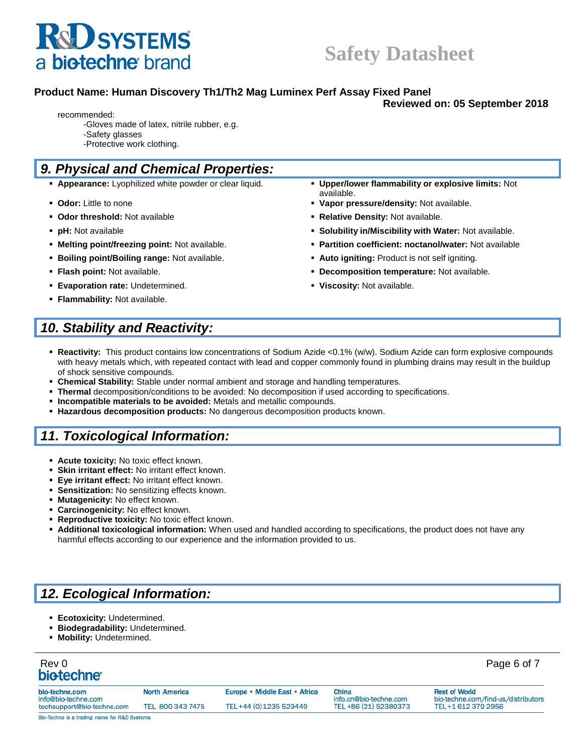

#### **Product Name: Human Discovery Th1/Th2 Mag Luminex Perf Assay Fixed Panel**

**Reviewed on: 05 September 2018**

- recommended: -Gloves made of latex, nitrile rubber, e.g.
	- -Safety glasses -Protective work clothing.

### *9. Physical and Chemical Properties:*

- **Appearance:** Lyophilized white powder or clear liquid. **Upper/lower flammability or explosive limits:** Not
- **Odor:** Little to none **Vapor pressure/density:** Not available.
- **Odor threshold:** Not available **Relative Density:** Not available.
- 
- **Melting point/freezing point:** Not available. **Partition coefficient: noctanol/water:** Not available
- **Example 1 Boiling point/Boiling range:** Not available.  **Auto igniting:** Product is not self igniting.
- 
- **Evaporation rate:** Undetermined. **The Constantineum of the Viscosity:** Not available.
- **Flammability:** Not available.
- **pH:** Not available **Solubility in/Miscibility with Water:** Not available.
	-
- **Flash point:** Not available. **Decomposition temperature:** Not available.
	-

available.

## *10. Stability and Reactivity:*

- **Reactivity:** This product contains low concentrations of Sodium Azide <0.1% (w/w). Sodium Azide can form explosive compounds with heavy metals which, with repeated contact with lead and copper commonly found in plumbing drains may result in the buildup of shock sensitive compounds.
- **Chemical Stability:** Stable under normal ambient and storage and handling temperatures.
- **Thermal** decomposition/conditions to be avoided: No decomposition if used according to specifications.
- **Incompatible materials to be avoided:** Metals and metallic compounds.
- **Hazardous decomposition products:** No dangerous decomposition products known.

## *11. Toxicological Information:*

- **E** Acute toxicity: No toxic effect known.
- **Skin irritant effect: No irritant effect known.**
- **Eye irritant effect: No irritant effect known.**
- **EXECT:** Sensitization: No sensitizing effects known.
- **Mutagenicity:** No effect known.
- **Carcinogenicity:** No effect known.
- **EXECT:** Reproductive toxicity: No toxic effect known.
- **Additional toxicological information:** When used and handled according to specifications, the product does not have any harmful effects according to our experience and the information provided to us.

## *12. Ecological Information:*

- **Ecotoxicity:** Undetermined.
- **Biodegradability:** Undetermined.
- **Mobility:** Undetermined.

| Rev 0<br>biotechne <sup>®</sup>       |                      |                               |                                 | Page 6 of 7                                                 |
|---------------------------------------|----------------------|-------------------------------|---------------------------------|-------------------------------------------------------------|
| bio-techne.com<br>info@bio-techne.com | <b>North America</b> | Europe • Middle East • Africa | China<br>info.cn@bio-techne.com | <b>Rest of World</b><br>bio-techne.com/find-us/distributors |
| techsupport@bio-techne.com            | TEL 800 343 7475     | TEL+44 (0) 1235 529449        | TEL +86 (21) 52380373           | TEL+1 612 379 2956                                          |

Bio-Techne is a trading name for R&D Systems